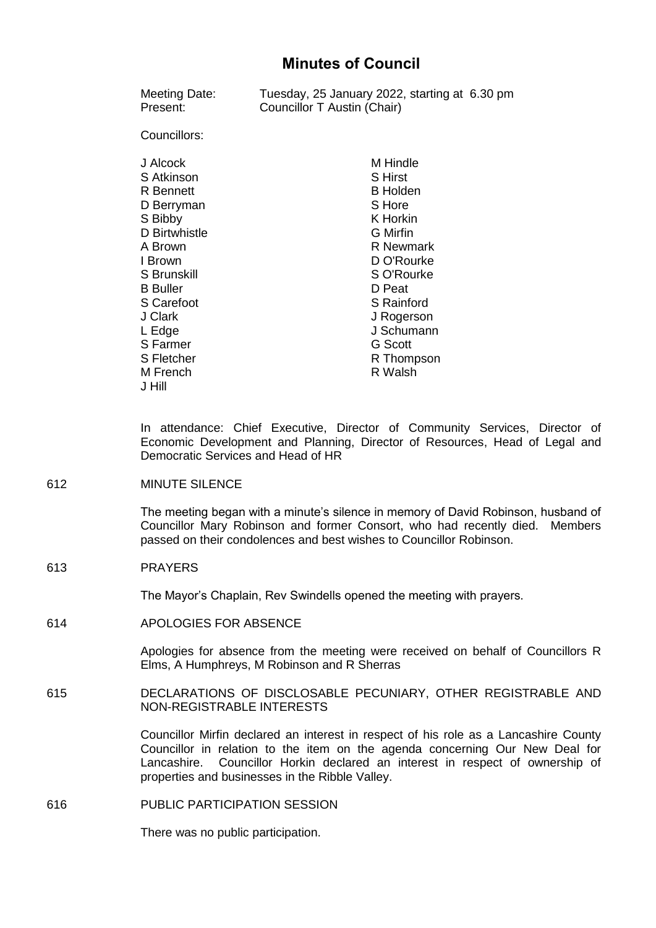| Meeting Date:      | Tuesday, 25 January 2022, starting at 6.30 pm |
|--------------------|-----------------------------------------------|
| Present:           | Councillor T Austin (Chair)                   |
| Councillors:       |                                               |
| J Alcock           | M Hindle                                      |
| S Atkinson         | <b>S</b> Hirst                                |
| R Bennett          | <b>B</b> Holden                               |
| D Berryman         | S Hore                                        |
| S Bibby            | K Horkin                                      |
| D Birtwhistle      | <b>G</b> Mirfin                               |
| A Brown            | R Newmark                                     |
| I Brown            | D O'Rourke                                    |
| S Brunskill        | S O'Rourke                                    |
| <b>B</b> Buller    | D Peat                                        |
| S Carefoot         | <b>S</b> Rainford                             |
| J Clark            | J Rogerson                                    |
| L Edge             | J Schumann                                    |
| S Farmer           | <b>G</b> Scott                                |
| S Fletcher         | R Thompson                                    |
| M French<br>J Hill | R Walsh                                       |

In attendance: Chief Executive, Director of Community Services, Director of Economic Development and Planning, Director of Resources, Head of Legal and Democratic Services and Head of HR

612 MINUTE SILENCE

The meeting began with a minute's silence in memory of David Robinson, husband of Councillor Mary Robinson and former Consort, who had recently died. Members passed on their condolences and best wishes to Councillor Robinson.

613 PRAYERS

The Mayor's Chaplain, Rev Swindells opened the meeting with prayers.

614 APOLOGIES FOR ABSENCE

Apologies for absence from the meeting were received on behalf of Councillors R Elms, A Humphreys, M Robinson and R Sherras

615 DECLARATIONS OF DISCLOSABLE PECUNIARY, OTHER REGISTRABLE AND NON-REGISTRABLE INTERESTS

> Councillor Mirfin declared an interest in respect of his role as a Lancashire County Councillor in relation to the item on the agenda concerning Our New Deal for Lancashire. Councillor Horkin declared an interest in respect of ownership of properties and businesses in the Ribble Valley.

616 PUBLIC PARTICIPATION SESSION

There was no public participation.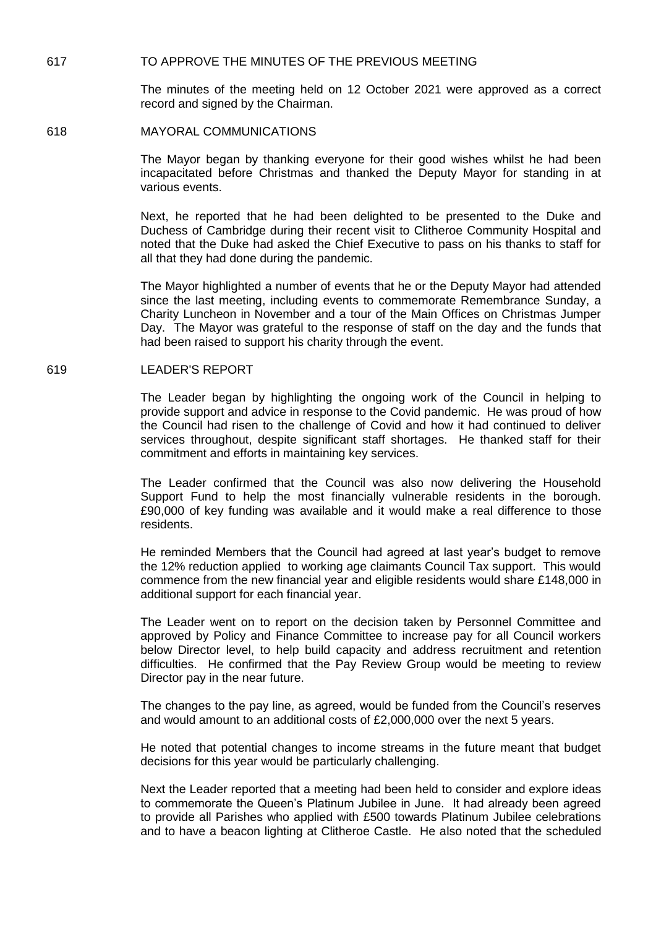## 617 TO APPROVE THE MINUTES OF THE PREVIOUS MEETING

The minutes of the meeting held on 12 October 2021 were approved as a correct record and signed by the Chairman.

618 MAYORAL COMMUNICATIONS

The Mayor began by thanking everyone for their good wishes whilst he had been incapacitated before Christmas and thanked the Deputy Mayor for standing in at various events.

Next, he reported that he had been delighted to be presented to the Duke and Duchess of Cambridge during their recent visit to Clitheroe Community Hospital and noted that the Duke had asked the Chief Executive to pass on his thanks to staff for all that they had done during the pandemic.

The Mayor highlighted a number of events that he or the Deputy Mayor had attended since the last meeting, including events to commemorate Remembrance Sunday, a Charity Luncheon in November and a tour of the Main Offices on Christmas Jumper Day. The Mayor was grateful to the response of staff on the day and the funds that had been raised to support his charity through the event.

# 619 LEADER'S REPORT

The Leader began by highlighting the ongoing work of the Council in helping to provide support and advice in response to the Covid pandemic. He was proud of how the Council had risen to the challenge of Covid and how it had continued to deliver services throughout, despite significant staff shortages. He thanked staff for their commitment and efforts in maintaining key services.

The Leader confirmed that the Council was also now delivering the Household Support Fund to help the most financially vulnerable residents in the borough. £90,000 of key funding was available and it would make a real difference to those residents.

He reminded Members that the Council had agreed at last year's budget to remove the 12% reduction applied to working age claimants Council Tax support. This would commence from the new financial year and eligible residents would share £148,000 in additional support for each financial year.

The Leader went on to report on the decision taken by Personnel Committee and approved by Policy and Finance Committee to increase pay for all Council workers below Director level, to help build capacity and address recruitment and retention difficulties. He confirmed that the Pay Review Group would be meeting to review Director pay in the near future.

The changes to the pay line, as agreed, would be funded from the Council's reserves and would amount to an additional costs of £2,000,000 over the next 5 years.

He noted that potential changes to income streams in the future meant that budget decisions for this year would be particularly challenging.

Next the Leader reported that a meeting had been held to consider and explore ideas to commemorate the Queen's Platinum Jubilee in June. It had already been agreed to provide all Parishes who applied with £500 towards Platinum Jubilee celebrations and to have a beacon lighting at Clitheroe Castle. He also noted that the scheduled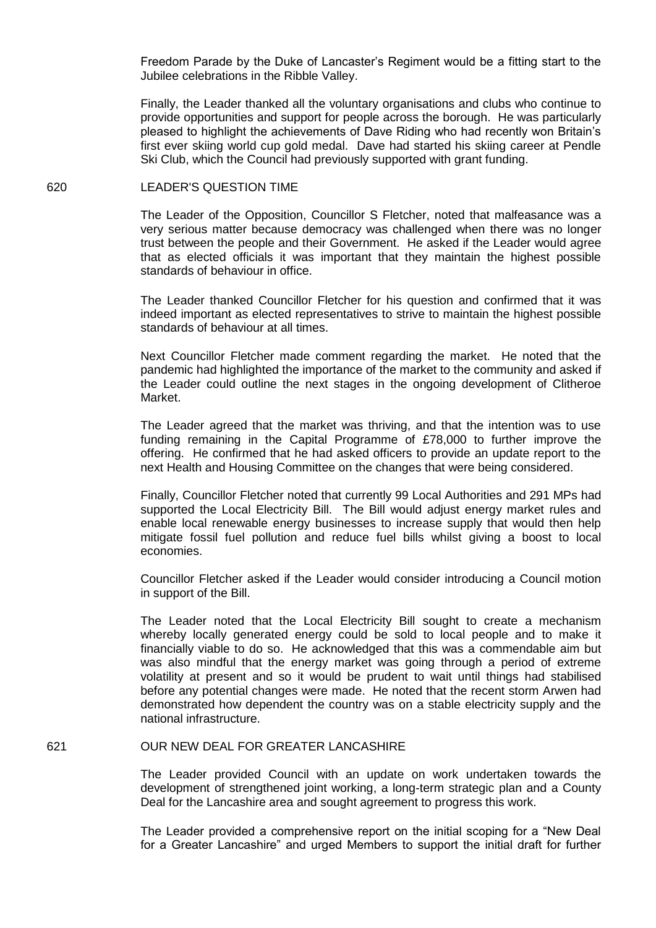Freedom Parade by the Duke of Lancaster's Regiment would be a fitting start to the Jubilee celebrations in the Ribble Valley.

Finally, the Leader thanked all the voluntary organisations and clubs who continue to provide opportunities and support for people across the borough. He was particularly pleased to highlight the achievements of Dave Riding who had recently won Britain's first ever skiing world cup gold medal. Dave had started his skiing career at Pendle Ski Club, which the Council had previously supported with grant funding.

# 620 LEADER'S QUESTION TIME

The Leader of the Opposition, Councillor S Fletcher, noted that malfeasance was a very serious matter because democracy was challenged when there was no longer trust between the people and their Government. He asked if the Leader would agree that as elected officials it was important that they maintain the highest possible standards of behaviour in office.

The Leader thanked Councillor Fletcher for his question and confirmed that it was indeed important as elected representatives to strive to maintain the highest possible standards of behaviour at all times.

Next Councillor Fletcher made comment regarding the market. He noted that the pandemic had highlighted the importance of the market to the community and asked if the Leader could outline the next stages in the ongoing development of Clitheroe Market.

The Leader agreed that the market was thriving, and that the intention was to use funding remaining in the Capital Programme of £78,000 to further improve the offering. He confirmed that he had asked officers to provide an update report to the next Health and Housing Committee on the changes that were being considered.

Finally, Councillor Fletcher noted that currently 99 Local Authorities and 291 MPs had supported the Local Electricity Bill. The Bill would adjust energy market rules and enable local renewable energy businesses to increase supply that would then help mitigate fossil fuel pollution and reduce fuel bills whilst giving a boost to local economies.

Councillor Fletcher asked if the Leader would consider introducing a Council motion in support of the Bill.

The Leader noted that the Local Electricity Bill sought to create a mechanism whereby locally generated energy could be sold to local people and to make it financially viable to do so. He acknowledged that this was a commendable aim but was also mindful that the energy market was going through a period of extreme volatility at present and so it would be prudent to wait until things had stabilised before any potential changes were made. He noted that the recent storm Arwen had demonstrated how dependent the country was on a stable electricity supply and the national infrastructure.

### 621 OUR NEW DEAL FOR GREATER LANCASHIRE

The Leader provided Council with an update on work undertaken towards the development of strengthened joint working, a long-term strategic plan and a County Deal for the Lancashire area and sought agreement to progress this work.

The Leader provided a comprehensive report on the initial scoping for a "New Deal for a Greater Lancashire" and urged Members to support the initial draft for further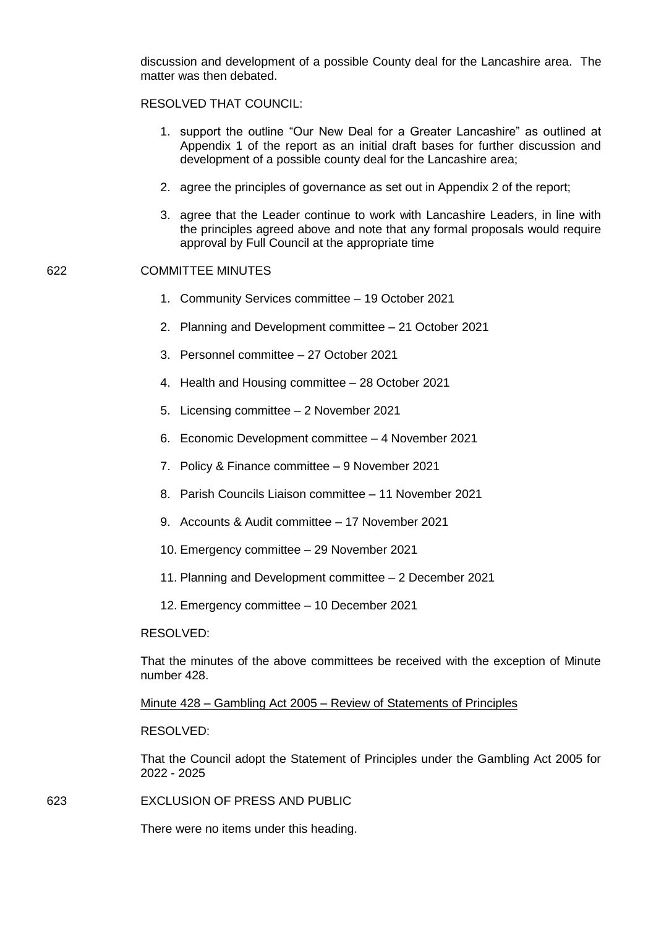discussion and development of a possible County deal for the Lancashire area. The matter was then debated.

# RESOLVED THAT COUNCIL:

- 1. support the outline "Our New Deal for a Greater Lancashire" as outlined at Appendix 1 of the report as an initial draft bases for further discussion and development of a possible county deal for the Lancashire area;
- 2. agree the principles of governance as set out in Appendix 2 of the report;
- 3. agree that the Leader continue to work with Lancashire Leaders, in line with the principles agreed above and note that any formal proposals would require approval by Full Council at the appropriate time

# 622 COMMITTEE MINUTES

- 1. Community Services committee 19 October 2021
- 2. Planning and Development committee 21 October 2021
- 3. Personnel committee 27 October 2021
- 4. Health and Housing committee 28 October 2021
- 5. Licensing committee 2 November 2021
- 6. Economic Development committee 4 November 2021
- 7. Policy & Finance committee 9 November 2021
- 8. Parish Councils Liaison committee 11 November 2021
- 9. Accounts & Audit committee 17 November 2021
- 10. Emergency committee 29 November 2021
- 11. Planning and Development committee 2 December 2021
- 12. Emergency committee 10 December 2021

#### RESOLVED:

That the minutes of the above committees be received with the exception of Minute number 428.

Minute 428 – Gambling Act 2005 – Review of Statements of Principles

## RESOLVED:

That the Council adopt the Statement of Principles under the Gambling Act 2005 for 2022 - 2025

623 EXCLUSION OF PRESS AND PUBLIC

There were no items under this heading.